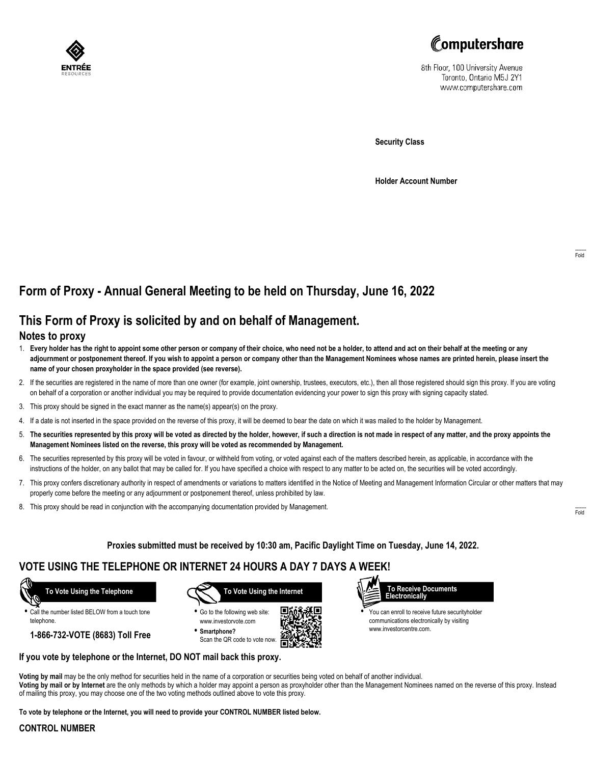



8th Floor, 100 University Avenue Toronto, Ontario M5J 2Y1 www.computershare.com

**Security Class**

**Holder Account Number**

# **Form of Proxy - Annual General Meeting to be held on Thursday, June 16, 2022**

# **This Form of Proxy is solicited by and on behalf of Management.**

### **Notes to proxy**

- 1. **Every holder has the right to appoint some other person or company of their choice, who need not be a holder, to attend and act on their behalf at the meeting or any adjournment or postponement thereof. If you wish to appoint a person or company other than the Management Nominees whose names are printed herein, please insert the name of your chosen proxyholder in the space provided (see reverse).**
- 2. If the securities are registered in the name of more than one owner (for example, joint ownership, trustees, executors, etc.), then all those registered should sign this proxy. If you are voting on behalf of a corporation or another individual you may be required to provide documentation evidencing your power to sign this proxy with signing capacity stated.
- 3. This proxy should be signed in the exact manner as the name(s) appear(s) on the proxy.
- 4. If a date is not inserted in the space provided on the reverse of this proxy, it will be deemed to bear the date on which it was mailed to the holder by Management.
- 5. **The securities represented by this proxy will be voted as directed by the holder, however, if such a direction is not made in respect of any matter, and the proxy appoints the Management Nominees listed on the reverse, this proxy will be voted as recommended by Management.**
- 6. The securities represented by this proxy will be voted in favour, or withheld from voting, or voted against each of the matters described herein, as applicable, in accordance with the instructions of the holder, on any ballot that may be called for. If you have specified a choice with respect to any matter to be acted on, the securities will be voted accordingly.
- 7. This proxy confers discretionary authority in respect of amendments or variations to matters identified in the Notice of Meeting and Management Information Circular or other matters that may properly come before the meeting or any adjournment or postponement thereof, unless prohibited by law.
- 8. This proxy should be read in conjunction with the accompanying documentation provided by Management.

**Proxies submitted must be received by 10:30 am, Pacific Daylight Time on Tuesday, June 14, 2022.**

## **VOTE USING THE TELEPHONE OR INTERNET 24 HOURS A DAY 7 DAYS A WEEK!**



**•** Call the number listed BELOW from a touch tone telephone.

**1-866-732-VOTE (8683) Toll Free**



**•** Go to the following web site: www.investorvote.com **• Smartphone?**

Scan the QR code to vote now.





**•** You can enroll to receive future securityholder communications electronically by visiting www.investorcentre.com.

#### **If you vote by telephone or the Internet, DO NOT mail back this proxy.**

**Voting by mail** may be the only method for securities held in the name of a corporation or securities being voted on behalf of another individual. **Voting by mail or by Internet** are the only methods by which a holder may appoint a person as proxyholder other than the Management Nominees named on the reverse of this proxy. Instead of mailing this proxy, you may choose one of the two voting methods outlined above to vote this proxy.

**To vote by telephone or the Internet, you will need to provide your CONTROL NUMBER listed below.**

#### **CONTROL NUMBER**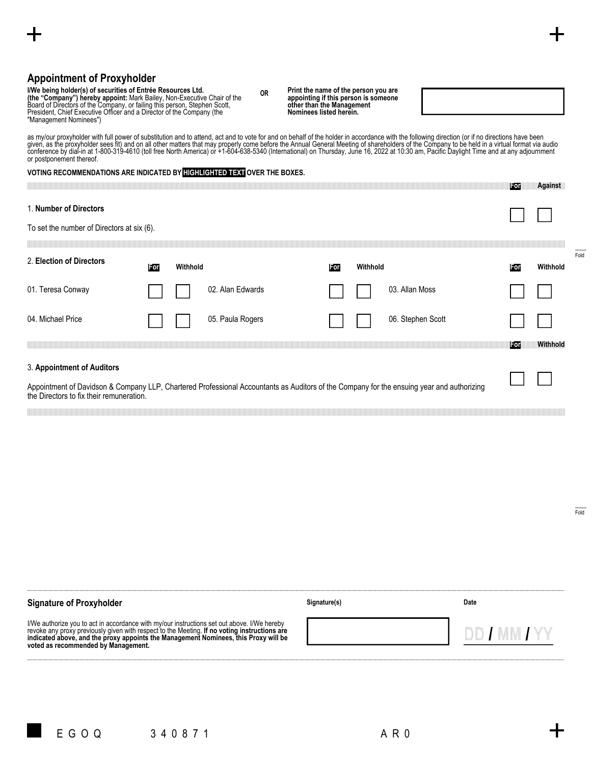------- Fold

I/We being holder(s) of securities of Entrée Resources Ltd.<br>(the "Company") hereby appoint: Mark Bailey, Non-Executive Chair of the<br>Board of Directors of the Company, or failing this person, Stephen Scott,<br>President, Chief

**OR Print the name of the person you are appointing if this person is someone other than the Management Nominees listed herein.**

| ninees listed herein. |   |  |   |     |          |               |  |  |
|-----------------------|---|--|---|-----|----------|---------------|--|--|
|                       |   |  |   |     |          |               |  |  |
| .                     | . |  | . | . . | $\cdots$ | $\sim$ $\sim$ |  |  |

as my/our proxyholder with full power of substitution and to attend, act and to vote for and on behalf of the holder in accordance with the following direction (or if no directions have been<br>given, as the proxyholder sees

#### **VOTING RECOMMENDATIONS ARE INDICATED BY HIGHLIGHTED TEXT OVER THE BOXES.**

|                                                                                                                                                                                                                     |     |          |                  |     |          |                   | lForl | <b>Against</b> |
|---------------------------------------------------------------------------------------------------------------------------------------------------------------------------------------------------------------------|-----|----------|------------------|-----|----------|-------------------|-------|----------------|
| 1. Number of Directors<br>To set the number of Directors at six (6).                                                                                                                                                |     |          |                  |     |          |                   |       |                |
| 2. Election of Directors                                                                                                                                                                                            | For | Withhold |                  | For | Withhold |                   | For   | Withhold       |
| 01. Teresa Conway                                                                                                                                                                                                   |     |          | 02. Alan Edwards |     |          | 03. Allan Moss    |       |                |
| 04. Michael Price                                                                                                                                                                                                   |     |          | 05. Paula Rogers |     |          | 06. Stephen Scott |       |                |
|                                                                                                                                                                                                                     |     |          |                  |     |          |                   | ∦For∥ | Withhold       |
| 3. Appointment of Auditors<br>Appointment of Davidson & Company LLP, Chartered Professional Accountants as Auditors of the Company for the ensuing year and authorizing<br>the Directors to fix their remuneration. |     |          |                  |     |          |                   |       |                |

| <b>Signature of Proxyholder</b>                                                                                                                                                                                                                                                                                           | Signature(s) | Date           |
|---------------------------------------------------------------------------------------------------------------------------------------------------------------------------------------------------------------------------------------------------------------------------------------------------------------------------|--------------|----------------|
| I/We authorize you to act in accordance with my/our instructions set out above. I/We hereby<br>revoke any proxy previously given with respect to the Meeting. If no voting instructions are<br>indicated above, and the proxy appoints the Management Nominees, this Proxy will be<br>voted as recommended by Management. |              | – DD / MM / YY |



------- Fold